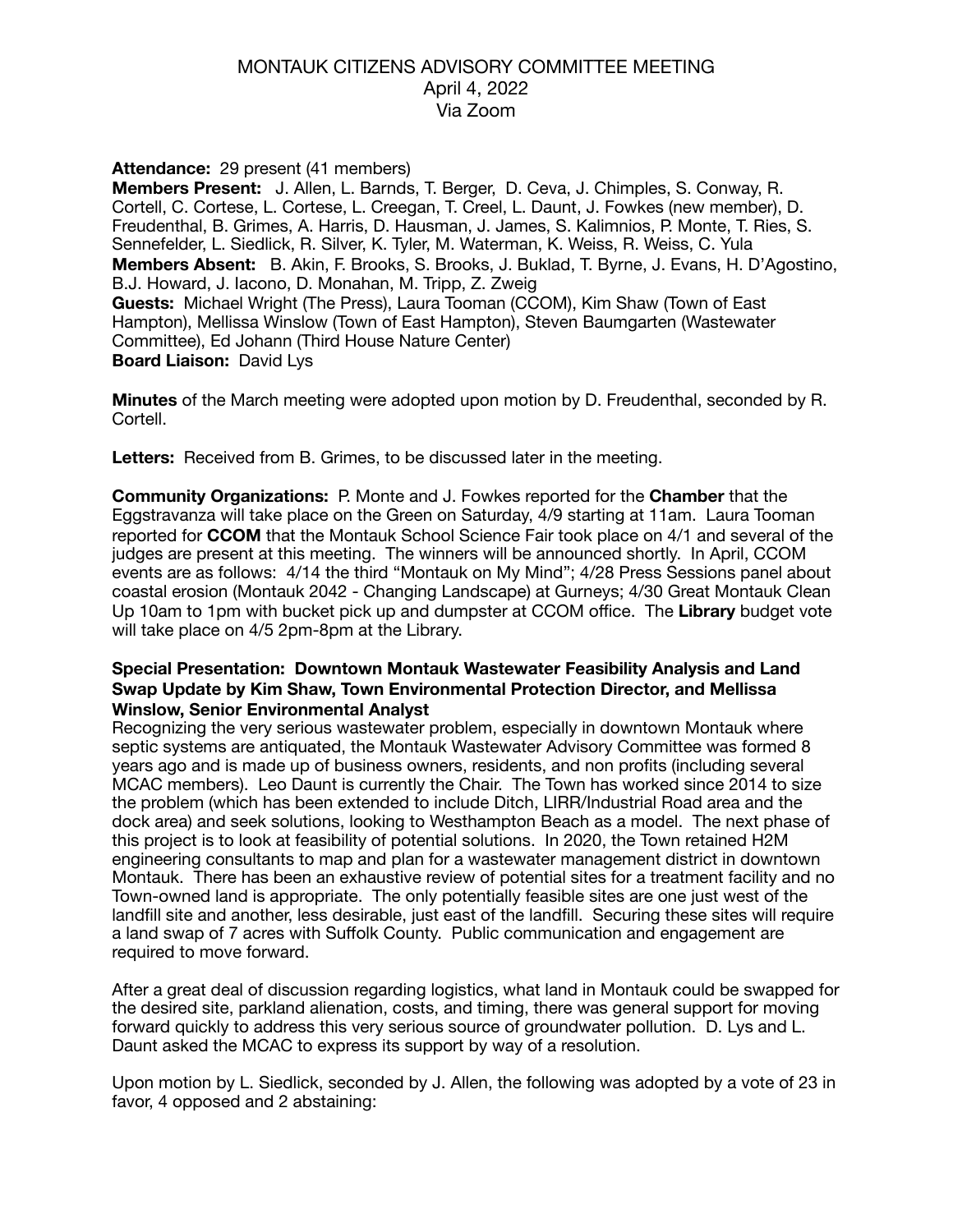### MONTAUK CITIZENS ADVISORY COMMITTEE MEETING April 4, 2022 Via Zoom

### **Attendance:** 29 present (41 members)

**Members Present:** J. Allen, L. Barnds, T. Berger, D. Ceva, J. Chimples, S. Conway, R. Cortell, C. Cortese, L. Cortese, L. Creegan, T. Creel, L. Daunt, J. Fowkes (new member), D. Freudenthal, B. Grimes, A. Harris, D. Hausman, J. James, S. Kalimnios, P. Monte, T. Ries, S. Sennefelder, L. Siedlick, R. Silver, K. Tyler, M. Waterman, K. Weiss, R. Weiss, C. Yula **Members Absent:** B. Akin, F. Brooks, S. Brooks, J. Buklad, T. Byrne, J. Evans, H. D'Agostino, B.J. Howard, J. Iacono, D. Monahan, M. Tripp, Z. Zweig **Guests:** Michael Wright (The Press), Laura Tooman (CCOM), Kim Shaw (Town of East Hampton), Mellissa Winslow (Town of East Hampton), Steven Baumgarten (Wastewater Committee), Ed Johann (Third House Nature Center) **Board Liaison:** David Lys

**Minutes** of the March meeting were adopted upon motion by D. Freudenthal, seconded by R. Cortell.

**Letters:** Received from B. Grimes, to be discussed later in the meeting.

**Community Organizations:** P. Monte and J. Fowkes reported for the **Chamber** that the Eggstravanza will take place on the Green on Saturday, 4/9 starting at 11am. Laura Tooman reported for **CCOM** that the Montauk School Science Fair took place on 4/1 and several of the judges are present at this meeting. The winners will be announced shortly. In April, CCOM events are as follows: 4/14 the third "Montauk on My Mind"; 4/28 Press Sessions panel about coastal erosion (Montauk 2042 - Changing Landscape) at Gurneys; 4/30 Great Montauk Clean Up 10am to 1pm with bucket pick up and dumpster at CCOM office. The **Library** budget vote will take place on 4/5 2pm-8pm at the Library.

#### **Special Presentation: Downtown Montauk Wastewater Feasibility Analysis and Land Swap Update by Kim Shaw, Town Environmental Protection Director, and Mellissa Winslow, Senior Environmental Analyst**

Recognizing the very serious wastewater problem, especially in downtown Montauk where septic systems are antiquated, the Montauk Wastewater Advisory Committee was formed 8 years ago and is made up of business owners, residents, and non profits (including several MCAC members). Leo Daunt is currently the Chair. The Town has worked since 2014 to size the problem (which has been extended to include Ditch, LIRR/Industrial Road area and the dock area) and seek solutions, looking to Westhampton Beach as a model. The next phase of this project is to look at feasibility of potential solutions. In 2020, the Town retained H2M engineering consultants to map and plan for a wastewater management district in downtown Montauk. There has been an exhaustive review of potential sites for a treatment facility and no Town-owned land is appropriate. The only potentially feasible sites are one just west of the landfill site and another, less desirable, just east of the landfill. Securing these sites will require a land swap of 7 acres with Suffolk County. Public communication and engagement are required to move forward.

After a great deal of discussion regarding logistics, what land in Montauk could be swapped for the desired site, parkland alienation, costs, and timing, there was general support for moving forward quickly to address this very serious source of groundwater pollution. D. Lys and L. Daunt asked the MCAC to express its support by way of a resolution.

Upon motion by L. Siedlick, seconded by J. Allen, the following was adopted by a vote of 23 in favor, 4 opposed and 2 abstaining: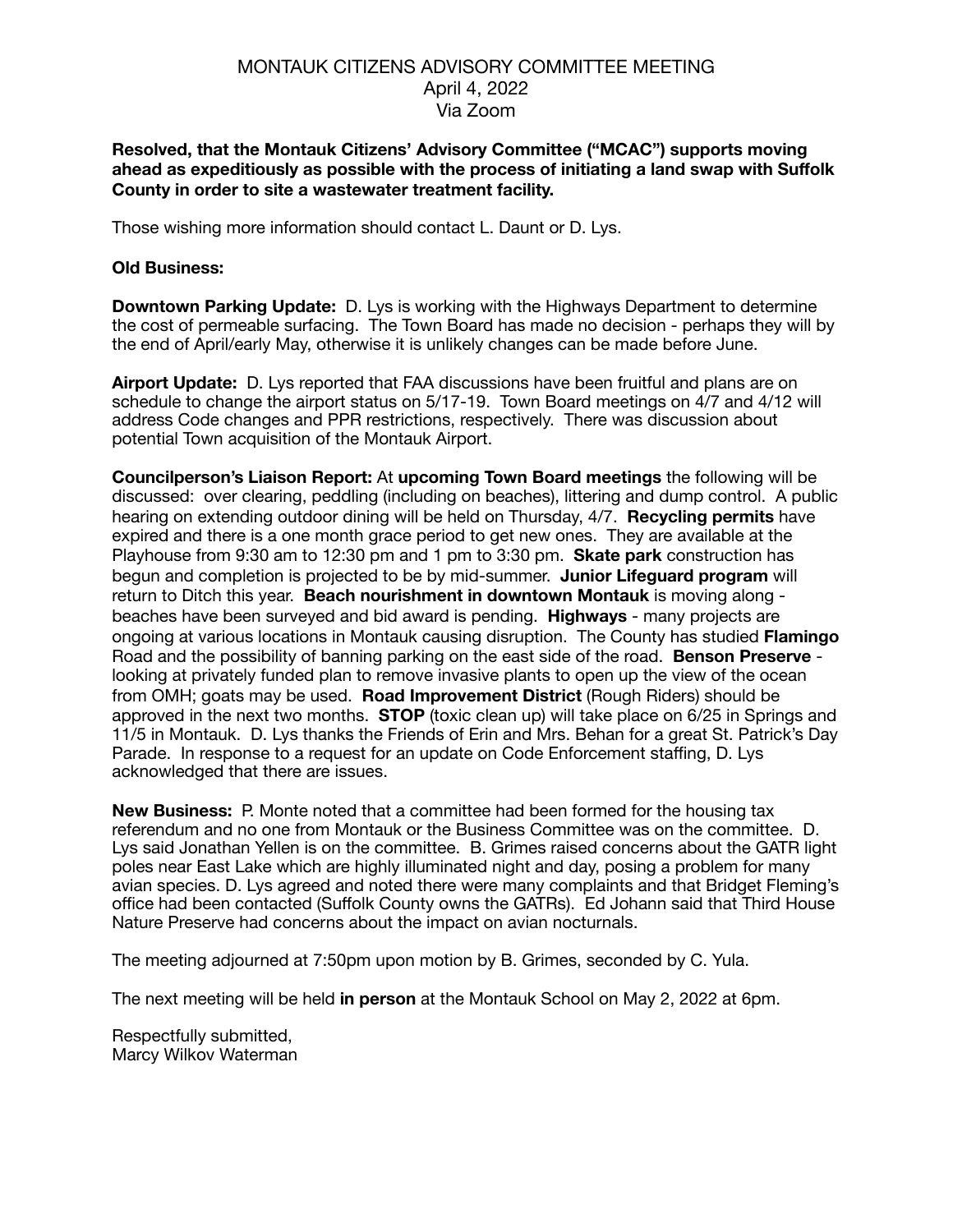## MONTAUK CITIZENS ADVISORY COMMITTEE MEETING April 4, 2022 Via Zoom

### **Resolved, that the Montauk Citizens' Advisory Committee ("MCAC") supports moving ahead as expeditiously as possible with the process of initiating a land swap with Suffolk County in order to site a wastewater treatment facility.**

Those wishing more information should contact L. Daunt or D. Lys.

### **Old Business:**

**Downtown Parking Update:** D. Lys is working with the Highways Department to determine the cost of permeable surfacing. The Town Board has made no decision - perhaps they will by the end of April/early May, otherwise it is unlikely changes can be made before June.

**Airport Update:** D. Lys reported that FAA discussions have been fruitful and plans are on schedule to change the airport status on 5/17-19. Town Board meetings on 4/7 and 4/12 will address Code changes and PPR restrictions, respectively. There was discussion about potential Town acquisition of the Montauk Airport.

**Councilperson's Liaison Report:** At **upcoming Town Board meetings** the following will be discussed: over clearing, peddling (including on beaches), littering and dump control. A public hearing on extending outdoor dining will be held on Thursday, 4/7. **Recycling permits** have expired and there is a one month grace period to get new ones. They are available at the Playhouse from 9:30 am to 12:30 pm and 1 pm to 3:30 pm. **Skate park** construction has begun and completion is projected to be by mid-summer. **Junior Lifeguard program** will return to Ditch this year. **Beach nourishment in downtown Montauk** is moving along beaches have been surveyed and bid award is pending. **Highways** - many projects are ongoing at various locations in Montauk causing disruption. The County has studied **Flamingo**  Road and the possibility of banning parking on the east side of the road. **Benson Preserve**  looking at privately funded plan to remove invasive plants to open up the view of the ocean from OMH; goats may be used. **Road Improvement District** (Rough Riders) should be approved in the next two months. **STOP** (toxic clean up) will take place on 6/25 in Springs and 11/5 in Montauk. D. Lys thanks the Friends of Erin and Mrs. Behan for a great St. Patrick's Day Parade. In response to a request for an update on Code Enforcement staffing, D. Lys acknowledged that there are issues.

**New Business:** P. Monte noted that a committee had been formed for the housing tax referendum and no one from Montauk or the Business Committee was on the committee. D. Lys said Jonathan Yellen is on the committee. B. Grimes raised concerns about the GATR light poles near East Lake which are highly illuminated night and day, posing a problem for many avian species. D. Lys agreed and noted there were many complaints and that Bridget Fleming's office had been contacted (Suffolk County owns the GATRs). Ed Johann said that Third House Nature Preserve had concerns about the impact on avian nocturnals.

The meeting adjourned at 7:50pm upon motion by B. Grimes, seconded by C. Yula.

The next meeting will be held **in person** at the Montauk School on May 2, 2022 at 6pm.

Respectfully submitted, Marcy Wilkov Waterman